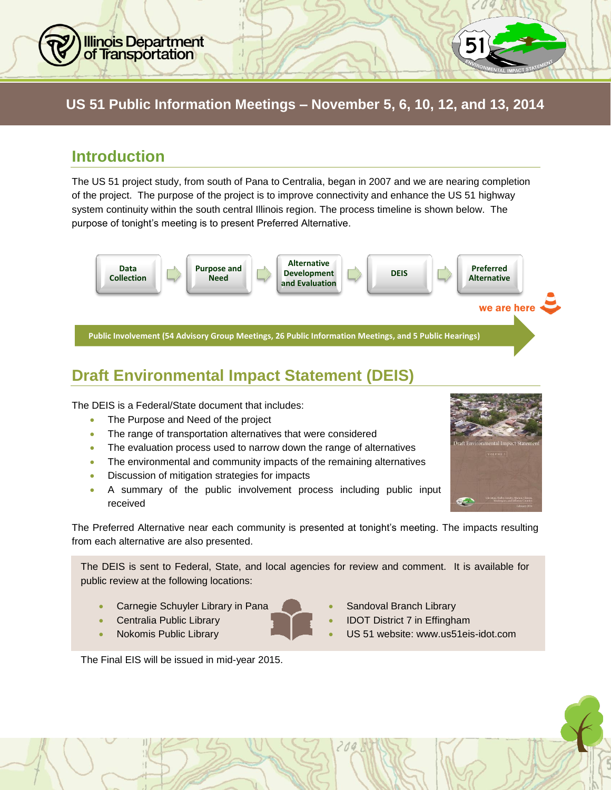## **US 51 Public Information Meetings – November 5, 6, 10, 12, and 13, 2014 US 51 Public Information Meetings – November 5, 6, 10, 12, and 13, 2014**

### **Introduction**

**Illinois Department** of Transportation

0

The US 51 project study, from south of Pana to Centralia, began in 2007 and we are nearing completion of the project. The purpose of the project is to improve connectivity and enhance the US 51 highway system continuity within the south central Illinois region. The process timeline is shown below. The purpose of tonight's meeting is to present Preferred Alternative.



# **Draft Environmental Impact Statement (DEIS)**

The DEIS is a Federal/State document that includes:

- The Purpose and Need of the project
- The range of transportation alternatives that were considered
- The evaluation process used to narrow down the range of alternatives
- The environmental and community impacts of the remaining alternatives
- **•** Discussion of mitigation strategies for impacts
- A summary of the public involvement process including public input received

The Preferred Alternative near each community is presented at tonight's meeting. The impacts resulting from each alternative are also presented.

The DEIS is sent to Federal, State, and local agencies for review and comment. It is available for public review at the following locations:

- Carnegie Schuyler Library in Pana **Carnegie Schuyler Library** in Pana
- 
- 
- 
- Centralia Public Library **Internal 2018 IDOT District 7 in Effingham**
- Nokomis Public Library US 51 website: www.us51eis-idot.com

The Final EIS will be issued in mid-year 2015.